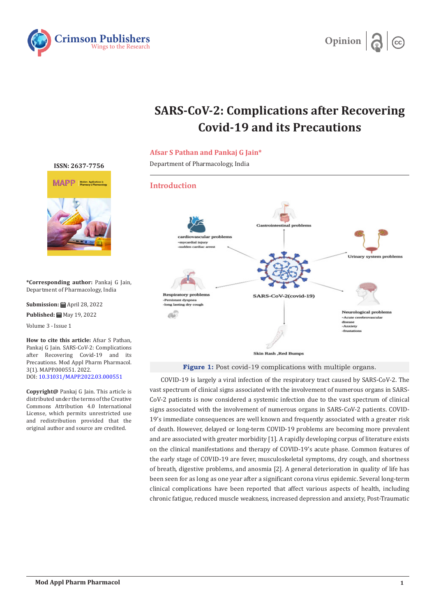



# **SARS-CoV-2: Complications after Recovering Covid-19 and its Precautions**

## **Afsar S Pathan and Pankaj G Jain\***

Department of Pharmacology, India

# **Introduction**



**Figure 1:** Post covid-19 complications with multiple organs.

COVID-19 is largely a viral infection of the respiratory tract caused by SARS-CoV-2. The vast spectrum of clinical signs associated with the involvement of numerous organs in SARS-CoV-2 patients is now considered a systemic infection due to the vast spectrum of clinical signs associated with the involvement of numerous organs in SARS-CoV-2 patients. COVID-19's immediate consequences are well known and frequently associated with a greater risk of death. However, delayed or long-term COVID-19 problems are becoming more prevalent and are associated with greater morbidity [1]. A rapidly developing corpus of literature exists on the clinical manifestations and therapy of COVID-19's acute phase. Common features of the early stage of COVID-19 are fever, musculoskeletal symptoms, dry cough, and shortness of breath, digestive problems, and anosmia [2]. A general deterioration in quality of life has been seen for as long as one year after a significant corona virus epidemic. Several long-term clinical complications have been reported that affect various aspects of health, including chronic fatigue, reduced muscle weakness, increased depression and anxiety, Post-Traumatic

#### **[ISSN: 2637-7756](https://crimsonpublishers.com/mapp/)**



**\*Corresponding author:** Pankaj G Jain, Department of Pharmacology, India

**Submission:** ■ April 28, 2022 Published: **■** May 19, 2022

Volume 3 - Issue 1

**How to cite this article:** Afsar S Pathan, Pankaj G Jain. SARS-CoV-2: Complications after Recovering Covid-19 and its Precautions. Mod Appl Pharm Pharmacol. 3(1). MAPP.000551. 2022. DOI: [10.31031/MAPP.2022.03.000551](http://dx.doi.org/10.31031/MAPP.2022.03.000551)

**Copyright@** Pankaj G Jain. This article is distributed under the terms of the Creative Commons Attribution 4.0 International License, which permits unrestricted use and redistribution provided that the original author and source are credited.